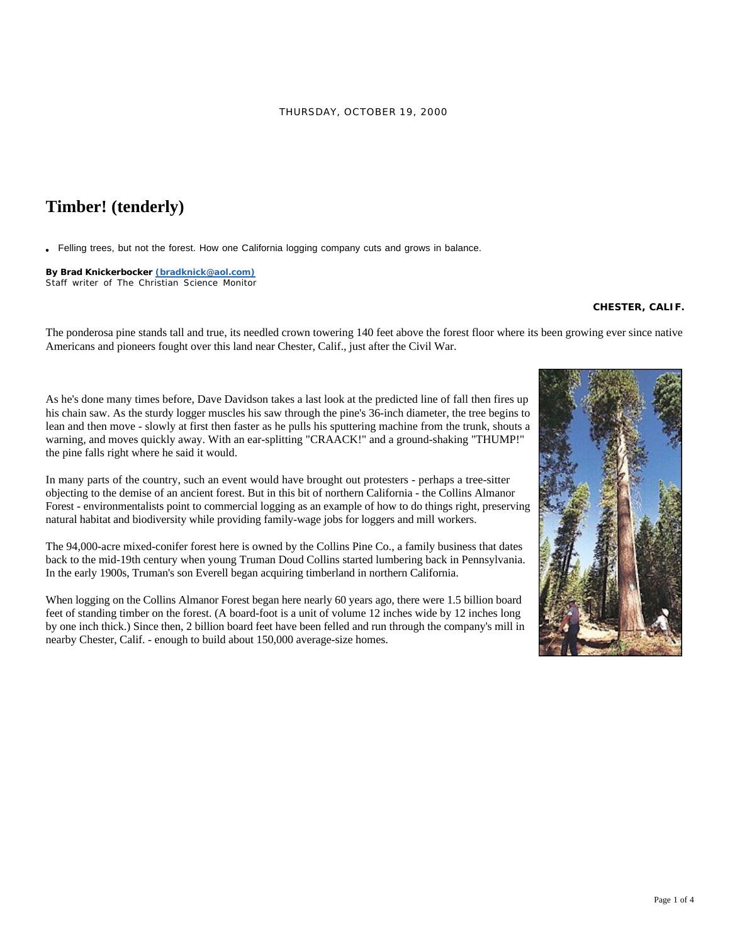## **Timber! (tenderly)**

Felling trees, but not the forest. How one California logging company cuts and grows in balance.

Staff writer of The Christian Science Monitor **By Brad Knickerbocker (bradknick@aol.com)**

## **CHESTER, CALIF.**

The ponderosa pine stands tall and true, its needled crown towering 140 feet above the forest floor where its been growing ever since native Americans and pioneers fought over this land near Chester, Calif., just after the Civil War.



As he's done many times before, Dave Davidson takes a last look at the predicted line of fall then fires up his chain saw. As the sturdy logger muscles his saw through the pine's 36-inch diameter, the tree begins to lean and then move - slowly at first then faster as he pulls his sputtering machine from the trunk, shouts a warning, and moves quickly away. With an ear-splitting "CRAACK!" and a ground-shaking "THUMP!" the pine falls right where he said it would.

In many parts of the country, such an event would have brought out protesters - perhaps a tree-sitter objecting to the demise of an ancient forest. But in this bit of northern California - the Collins Almanor Forest - environmentalists point to commercial logging as an example of how to do things right, preserving natural habitat and biodiversity while providing family-wage jobs for loggers and mill workers.

The 94,000-acre mixed-conifer forest here is owned by the Collins Pine Co., a family business that dates back to the mid-19th century when young Truman Doud Collins started lumbering back in Pennsylvania. In the early 1900s, Truman's son Everell began acquiring timberland in northern California.

When logging on the Collins Almanor Forest began here nearly 60 years ago, there were 1.5 billion board feet of standing timber on the forest. (A board-foot is a unit of volume 12 inches wide by 12 inches long by one inch thick.) Since then, 2 billion board feet have been felled and run through the company's mill in nearby Chester, Calif. - enough to build about 150,000 average-size homes.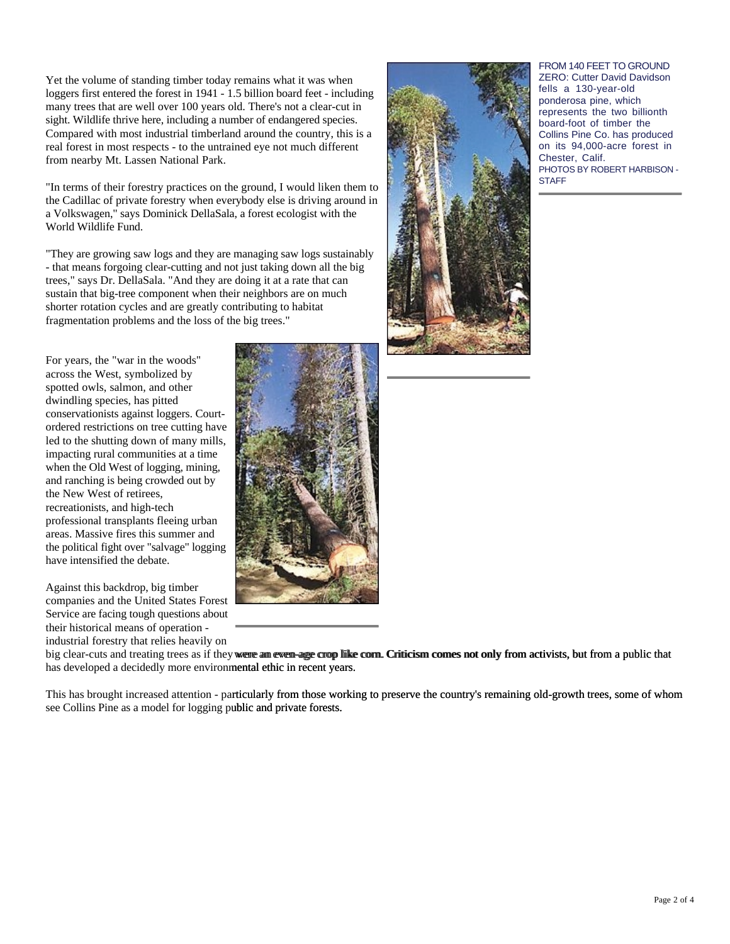Yet the volume of standing timber today remains what it was when loggers first entered the forest in 1941 - 1.5 billion board feet - including many trees that are well over 100 years old. There's not a clear-cut in sight. Wildlife thrive here, including a number of endangered species. Compared with most industrial timberland around the country, this is a real forest in most respects - to the untrained eye not much different from nearby Mt. Lassen National Park.

"In terms of their forestry practices on the ground, I would liken them to the Cadillac of private forestry when everybody else is driving around in a Volkswagen," says Dominick DellaSala, a forest ecologist with the World Wildlife Fund.

"They are growing saw logs and they are managing saw logs sustainably - that means forgoing clear-cutting and not just taking down all the big trees," says Dr. DellaSala. "And they are doing it at a rate that can sustain that big-tree component when their neighbors are on much shorter rotation cycles and are greatly contributing to habitat fragmentation problems and the loss of the big trees."

For years, the "war in the woods" across the West, symbolized by spotted owls, salmon, and other dwindling species, has pitted conservationists against loggers. Courtordered restrictions on tree cutting have led to the shutting down of many mills, impacting rural communities at a time when the Old West of logging, mining, and ranching is being crowded out by the New West of retirees, recreationists, and high-tech professional transplants fleeing urban areas. Massive fires this summer and the political fight over "salvage" logging have intensified the debate.

Against this backdrop, big timber companies and the United States Forest Service are facing tough questions about their historical means of operation industrial forestry that relies heavily on





FROM 140 FEET TO GROUND ZERO: Cutter David Davidson fells a 130-year-old ponderosa pine, which represents the two billionth board-foot of timber the Collins Pine Co. has produced on its 94,000-acre forest in Chester, Calif. PHOTOS BY ROBERT HARBISON - **STAFF** 

big clear-cuts and treating trees as if they were an even-age crop like corn. Criticism comes not only from activists, but from a public that has developed a decidedly more environmental ethic in recent years. big clear-cuts and treating trees as if they were am even age crop like com. Criticism comes not only from activists, but from a public that<br>has developed a decidedly more environmental ethic in recent years.<br>This has brou

see Collins Pine as a model for logging public and private forests. ublic and private forests.<br>
Page 2 of 4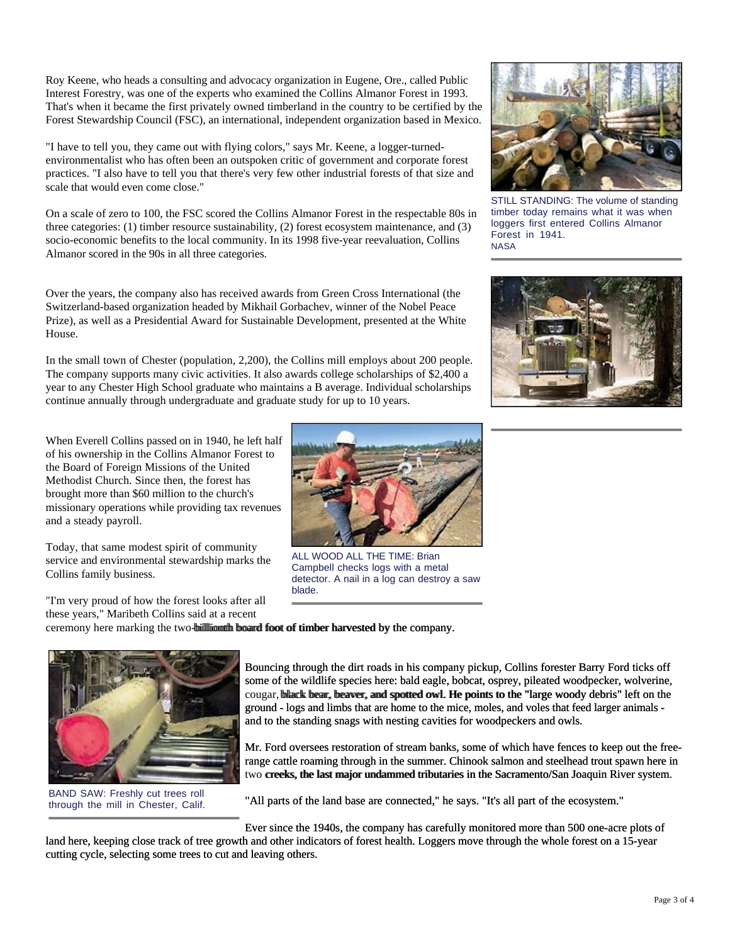Roy Keene, who heads a consulting and advocacy organization in Eugene, Ore., called Public Interest Forestry, was one of the experts who examined the Collins Almanor Forest in 1993. That's when it became the first privately owned timberland in the country to be certified by the Forest Stewardship Council (FSC), an international, independent organization based in Mexico.

"I have to tell you, they came out with flying colors," says Mr. Keene, a logger-turnedenvironmentalist who has often been an outspoken critic of government and corporate forest practices. "I also have to tell you that there's very few other industrial forests of that size and scale that would even come close."

On a scale of zero to 100, the FSC scored the Collins Almanor Forest in the respectable 80s in three categories: (1) timber resource sustainability, (2) forest ecosystem maintenance, and (3) socio-economic benefits to the local community. In its 1998 five-year reevaluation, Collins Almanor scored in the 90s in all three categories.

Over the years, the company also has received awards from Green Cross International (the Switzerland-based organization headed by Mikhail Gorbachev, winner of the Nobel Peace Prize), as well as a Presidential Award for Sustainable Development, presented at the White House.

In the small town of Chester (population, 2,200), the Collins mill employs about 200 people. The company supports many civic activities. It also awards college scholarships of \$2,400 a year to any Chester High School graduate who maintains a B average. Individual scholarships continue annually through undergraduate and graduate study for up to 10 years.

When Everell Collins passed on in 1940, he left half of his ownership in the Collins Almanor Forest to the Board of Foreign Missions of the United Methodist Church. Since then, the forest has brought more than \$60 million to the church's missionary operations while providing tax revenues and a steady payroll.

Today, that same modest spirit of community service and environmental stewardship marks the Collins family business.

"I'm very proud of how the forest looks after all these years," Maribeth Collins said at a recent blade.

ceremony here marking the two-bill lionth board foot of timber harvested by the company.

cougar, black bear, beaver, and spotted owl. He points to the "large woody debris" left on the ground - logs and limbs that are home to the mice, moles, and voles that feed larger animals and to the standing snags with nesting cavities for woodpeckers and owls. **Bounding through the dirt roads in his company.**<br> **Bouncing through the dirt roads in his company pickup, Collins forester Barry Ford ticks off some of the wildlife species here: bald eagle, bobcat, osprey, pileated woodp** 

Mr. Ford oversees restoration of stream banks, some of which have fences to keep out the freerange cattle roaming through in the summer. Chinook salmon and steelhead trout spawn here in two creeks, the last major undammed tributaries in the Sacramento/San Joaquin River system.

"All parts of the land base are connected," he says. "It's all part of the ecosystem."

Ever since the 1940s, the company has carefully monitored more than 500 one-acre plots of

land here, keeping close track of tree growth and other indicators of forest health. Loggers move through the whole forest on a 15-year cutting cycle, selecting some trees to cut and leaving others.

Forest in 1941. **NASA** 

timber today remains what it was when loggers first entered Collins Almanor





ALL WOOD ALL THE TIME: Brian Campbell checks logs with a metal detector. A nail in a log can destroy a saw





BAND SAW: Freshly cut trees roll through the mill in Chester, Calif.